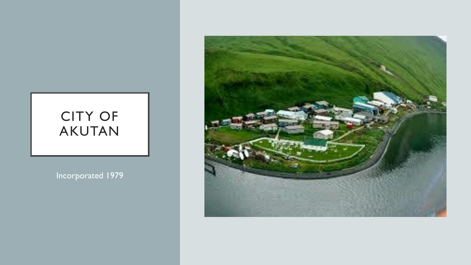## CITY OF AKUTAN

Incorporated 1979

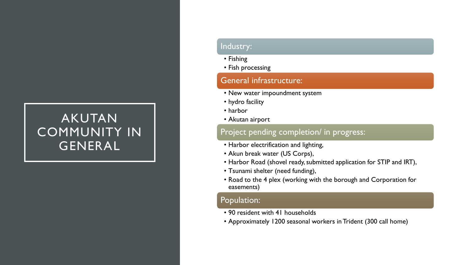## AKUTAN COMMUNITY IN GENERAL

### Industry:

- Fishing
- Fish processing

### General infrastructure:

- New water impoundment system
- hydro facility
- harbor
- Akutan airport

### Project pending completion/ in progress:

- Harbor electrification and lighting,
- Akun break water (US Corps),
- Harbor Road (shovel ready, submitted application for STIP and IRT),
- Tsunami shelter (need funding),
- Road to the 4 plex (working with the borough and Corporation for easements)

### Population:

- 90 resident with 41 households
- Approximately 1200 seasonal workers in Trident (300 call home)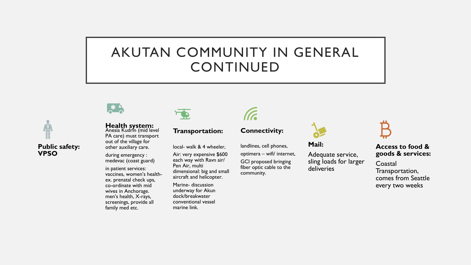## AKUTAN COMMUNITY IN GENERAL CONTINUED



### **Health system:**

Anesia Kudrin (mid level PA care) must transport out of the village for other auxiliary care.

during emergency : medevac (coast guard)

in patient services: vaccines, women's healthex. prenatal check ups, co-ordinate with mid wives in Anchorage. men's health, X-rays, screenings, provide all family med etc.



### **Transportation:**

local- walk & 4 wheeler, Air: very expensive \$600

each way with Ravn air/ Pen Air, multi dimensional: big and small aircraft and helicopter.

Marine- discussion underway for Akun dock/breakwater conventional vessel marine link.

# (Fa

**Connectivity:** 

landlines, cell phones, optimera – wifi/ internet, GCI proposed bringing fiber optic cable to the community.



**Mail:** 

Adequate service, sling loads for larger deliveries



### **Access to food & goods & services:**

Coastal Transportation, comes from Seattle every two weeks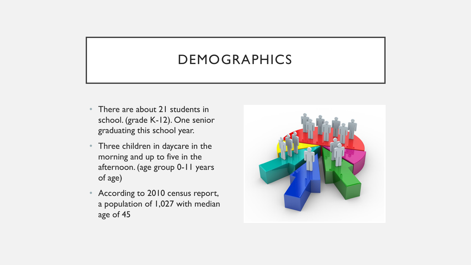## DEMOGRAPHICS

- There are about 21 students in school. (grade K-12). One senior graduating this school year.
- Three children in daycare in the morning and up to five in the afternoon. (age group 0-11 years of age)
- According to 2010 census report, a population of 1,027 with median age of 45

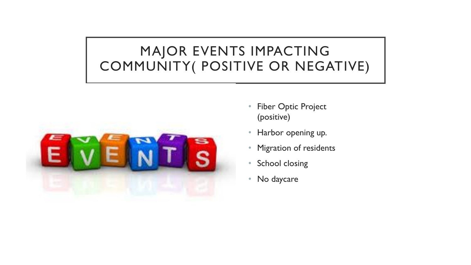## MAJOR EVENTS IMPACTING COMMUNITY( POSITIVE OR NEGATIVE)



- Fiber Optic Project (positive)
- Harbor opening up.
- Migration of residents
- School closing
- No daycare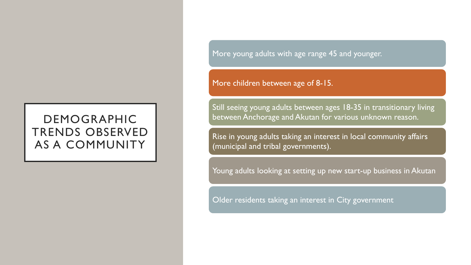## DEMOGRAPHIC TRENDS OBSERVED AS A COMMUNITY

More young adults with age range 45 and younger.

More children between age of 8-15.

Still seeing young adults between ages 18-35 in transitionary living between Anchorage and Akutan for various unknown reason.

Rise in young adults taking an interest in local community affairs (municipal and tribal governments).

Young adults looking at setting up new start-up business in Akutan

Older residents taking an interest in City government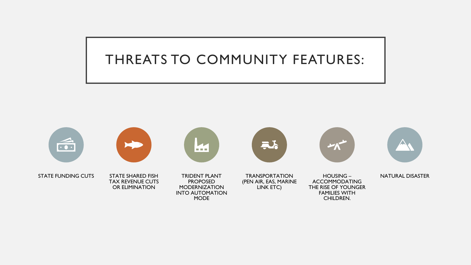## THREATS TO COMMUNITY FEATURES:

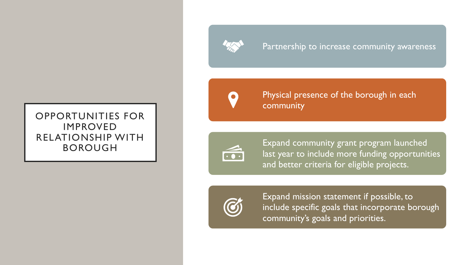

### Partnership to increase community awareness

### OPPORTUNITIES FOR IMPROVED RELATIONSHIP WITH BOROUGH



Physical presence of the borough in each community



Expand community grant program launched last year to include more funding opportunities and better criteria for eligible projects.



Expand mission statement if possible, to include specific goals that incorporate borough community's goals and priorities.